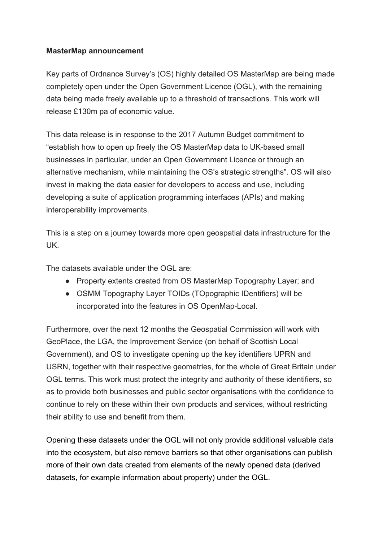## **MasterMap announcement**

Key parts of Ordnance Survey's (OS) highly detailed OS MasterMap are being made completely open under the Open Government Licence (OGL), with the remaining data being made freely available up to a threshold of transactions. This work will release £130m pa of economic value.

This data release is in response to the 2017 Autumn Budget commitment to "establish how to open up freely the OS MasterMap data to UK-based small businesses in particular, under an Open Government Licence or through an alternative mechanism, while maintaining the OS's strategic strengths". OS will also invest in making the data easier for developers to access and use, including developing a suite of application programming interfaces (APIs) and making interoperability improvements.

This is a step on a journey towards more open geospatial data infrastructure for the UK.

The datasets available under the OGL are:

- Property extents created from OS MasterMap Topography Layer; and
- OSMM Topography Layer TOIDs (TOpographic IDentifiers) will be incorporated into the features in OS OpenMap-Local.

Furthermore, over the next 12 months the Geospatial Commission will work with GeoPlace, the LGA, the Improvement Service (on behalf of Scottish Local Government), and OS to investigate opening up the key identifiers UPRN and USRN, together with their respective geometries, for the whole of Great Britain under OGL terms. This work must protect the integrity and authority of these identifiers, so as to provide both businesses and public sector organisations with the confidence to continue to rely on these within their own products and services, without restricting their ability to use and benefit from them.

Opening these datasets under the OGL will not only provide additional valuable data into the ecosystem, but also remove barriers so that other organisations can publish more of their own data created from elements of the newly opened data (derived datasets, for example information about property) under the OGL.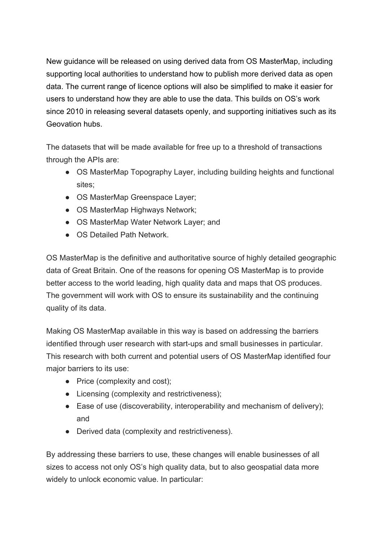New guidance will be released on using derived data from OS MasterMap, including supporting local authorities to understand how to publish more derived data as open data. The current range of licence options will also be simplified to make it easier for users to understand how they are able to use the data. This builds on OS's work since 2010 in releasing several datasets openly, and supporting initiatives such as its Geovation hubs.

The datasets that will be made available for free up to a threshold of transactions through the APIs are:

- OS MasterMap Topography Layer, including building heights and functional sites;
- OS MasterMap Greenspace Layer;
- OS MasterMap Highways Network;
- OS MasterMap Water Network Layer; and
- OS Detailed Path Network

OS MasterMap is the definitive and authoritative source of highly detailed geographic data of Great Britain. One of the reasons for opening OS MasterMap is to provide better access to the world leading, high quality data and maps that OS produces. The government will work with OS to ensure its sustainability and the continuing quality of its data.

Making OS MasterMap available in this way is based on addressing the barriers identified through user research with start-ups and small businesses in particular. This research with both current and potential users of OS MasterMap identified four major barriers to its use:

- Price (complexity and cost);
- Licensing (complexity and restrictiveness);
- Ease of use (discoverability, interoperability and mechanism of delivery); and
- Derived data (complexity and restrictiveness).

By addressing these barriers to use, these changes will enable businesses of all sizes to access not only OS's high quality data, but to also geospatial data more widely to unlock economic value. In particular: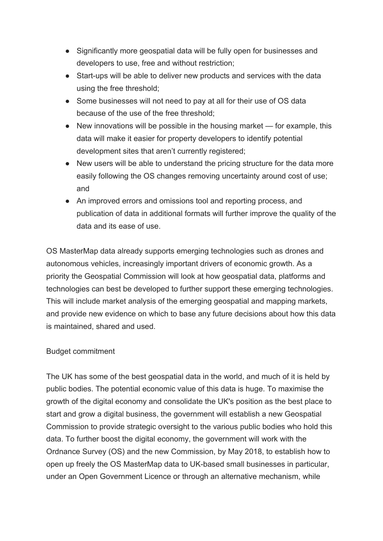- Significantly more geospatial data will be fully open for businesses and developers to use, free and without restriction;
- Start-ups will be able to deliver new products and services with the data using the free threshold;
- Some businesses will not need to pay at all for their use of OS data because of the use of the free threshold;
- New innovations will be possible in the housing market for example, this data will make it easier for property developers to identify potential development sites that aren't currently registered;
- New users will be able to understand the pricing structure for the data more easily following the OS changes removing uncertainty around cost of use; and
- An improved errors and omissions tool and reporting process, and publication of data in additional formats will further improve the quality of the data and its ease of use.

OS MasterMap data already supports emerging technologies such as drones and autonomous vehicles, increasingly important drivers of economic growth. As a priority the Geospatial Commission will look at how geospatial data, platforms and technologies can best be developed to further support these emerging technologies. This will include market analysis of the emerging geospatial and mapping markets, and provide new evidence on which to base any future decisions about how this data is maintained, shared and used.

## Budget commitment

The UK has some of the best geospatial data in the world, and much of it is held by public bodies. The potential economic value of this data is huge. To maximise the growth of the digital economy and consolidate the UK's position as the best place to start and grow a digital business, the government will establish a new Geospatial Commission to provide strategic oversight to the various public bodies who hold this data. To further boost the digital economy, the government will work with the Ordnance Survey (OS) and the new Commission, by May 2018, to establish how to open up freely the OS MasterMap data to UK-based small businesses in particular, under an Open Government Licence or through an alternative mechanism, while